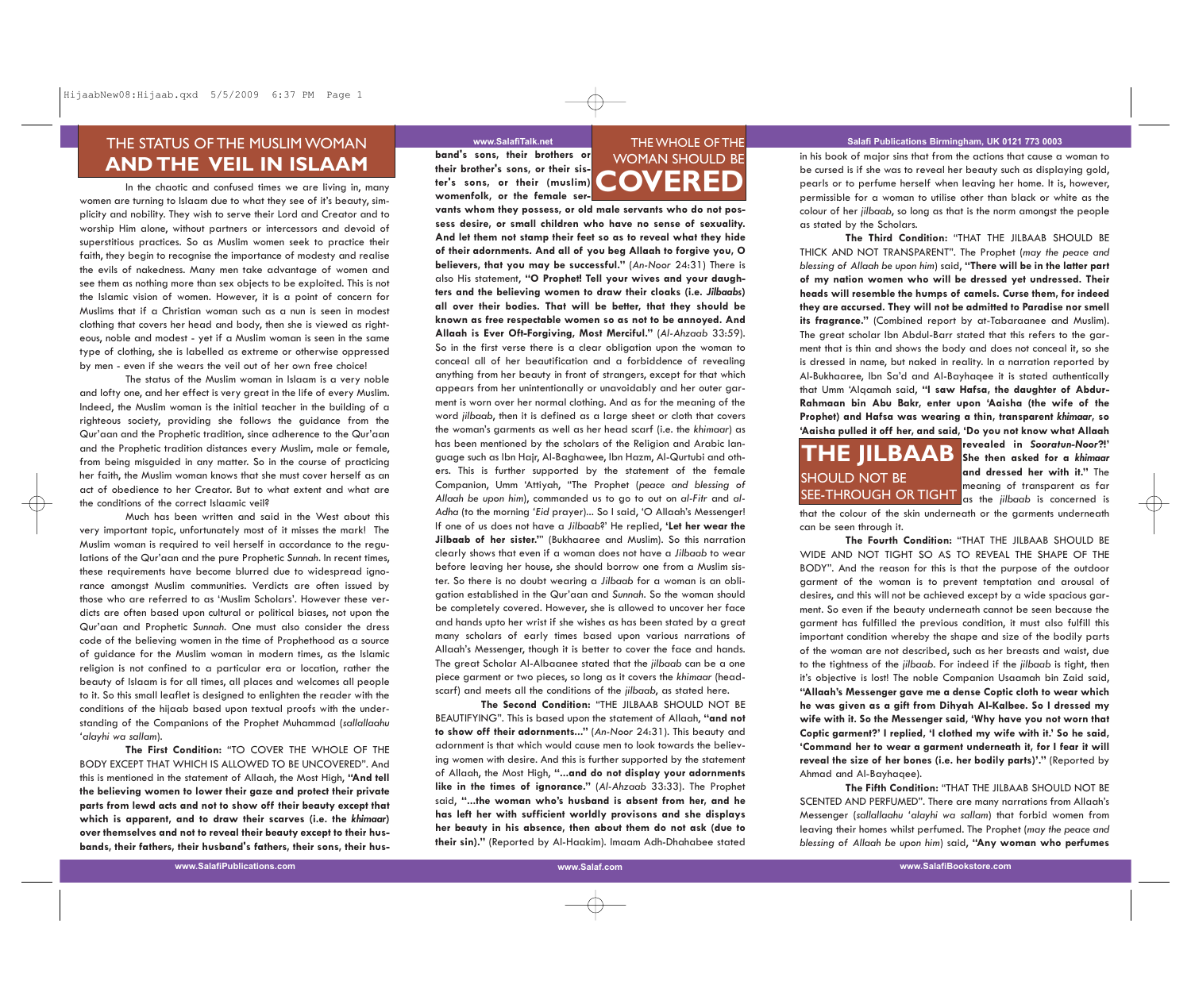## THE STATUS OF THE MUSLIM WOMAN **AND THE VEIL IN ISLAAM**

In the chaotic and confused times we are living in, many women are turning to Islaam due to what they see of it's beauty, simplicity and nobility. They wish to serve their Lord and Creator and to worship Him alone, without partners or intercessors and devoid of superstitious practices. So as Muslim women seek to practice their faith, they begin to recognise the importance of modesty and realise the evils of nakedness. Many men take advantage of women and see them as nothing more than sex objects to be exploited. This is not the Islamic vision of women. However, it is a point of concern for Muslims that if a Christian woman such as a nun is seen in modest clothing that covers her head and body, then she is viewed as righteous, noble and modest - yet if a Muslim woman is seen in the same type of clothing, she is labelled as extreme or otherwise oppressed by men - even if she wears the veil out of her own free choice!

The status of the Muslim woman in Islaam is a very noble and lofty one, and her effect is very great in the life of every Muslim. Indeed, the Muslim woman is the initial teacher in the building of a righteous society, providing she follows the guidance from the Qur'aan and the Prophetic tradition, since adherence to the Qur'aan and the Prophetic tradition distances every Muslim, male or female, from being misguided in any matter. So in the course of practicing her faith, the Muslim woman knows that she must cover herself as an act of obedience to her Creator. But to what extent and what are the conditions of the correct Islaamic veil?

Much has been written and said in the West about this very important topic, unfortunately most of it misses the mark! The Muslim woman is required to veil herself in accordance to the regulations of the Qur'aan and the pure Prophetic *Sunnah*. In recent times, these requirements have become blurred due to widespread ignorance amongst Muslim communities. Verdicts are often issued by those who are referred to as 'Muslim Scholars'. However these verdicts are often based upon cultural or political biases, not upon the Qur'aan and Prophetic *Sunnah*. One must also consider the dress code of the believing women in the time of Prophethood as a source of guidance for the Muslim woman in modern times, as the Islamic religion is not confined to a particular era or location, rather the beauty of Islaam is for all times, all places and welcomes all people to it. So this small leaflet is designed to enlighten the reader with the conditions of the hijaab based upon textual proofs with the understanding of the Companions of the Prophet Muhammad (*sallallaahu 'alayhi wa sallam*).

**The First Condition:** "TO COVER THE WHOLE OF THE BODY EXCEPT THAT WHICH IS ALLOWED TO BE UNCOVERED". And this is mentioned in the statement of Allaah, the Most High, **"And tell the believing women to lower their gaze and protect their private parts from lewd acts and not to show off their beauty except that which is apparent, and to draw their scarves (i.e. the** *khimaar***) over themselves and not to reveal their beauty except to their husbands, their fathers, their husband's fathers, their sons, their hus-**

**band's sons, their brothers or their brother's sons, or their sister's sons, or their (muslim) womenfolk, or the female ser-**

# WOMAN SHOULD BE **COVERED**

**vants whom they possess, or old male servants who do not possess desire, or small children who have no sense of sexuality. And let them not stamp their feet so as to reveal what they hide of their adornments. And all of you beg Allaah to forgive you, O believers, that you may be successful."** (*An-Noor* 24:31) There is also His statement, **"O Prophet! Tell your wives and your daughters and the believing women to draw their cloaks (i.e.** *Jilbaabs***) all over their bodies. That will be better, that they should be known as free respectable women so as not to be annoyed. And Allaah is Ever Oft-Forgiving, Most Merciful."** (*Al-Ahzaab* 33:59). So in the first verse there is a clear obligation upon the woman to conceal all of her beautification and a forbiddence of revealing anything from her beauty in front of strangers, except for that which appears from her unintentionally or unavoidably and her outer garment is worn over her normal clothing. And as for the meaning of the word *jilbaab*, then it is defined as a large sheet or cloth that covers the woman's garments as well as her head scarf (i.e. the *khimaar*) as has been mentioned by the scholars of the Religion and Arabic language such as Ibn Hajr, Al-Baghawee, Ibn Hazm, Al-Qurtubi and others. This is further supported by the statement of the female Companion, Umm 'Attiyah, "The Prophet (*peace and blessing of Allaah be upon him*), commanded us to go to out on *al-Fitr* and *al-Adha* (to the morning *'Eid* prayer)... So I said, 'O Allaah's Messenger! If one of us does not have a *Jilbaab*?' He replied, **'Let her wear the Jilbaab of her sister.'**" (Bukhaaree and Muslim). So this narration clearly shows that even if a woman does not have a *Jilbaab* to wear before leaving her house, she should borrow one from a Muslim sister. So there is no doubt wearing a *Jilbaab* for a woman is an obligation established in the Qur'aan and *Sunnah*. So the woman should be completely covered. However, she is allowed to uncover her face and hands upto her wrist if she wishes as has been stated by a great many scholars of early times based upon various narrations of Allaah's Messenger, though it is better to cover the face and hands. The great Scholar Al-Albaanee stated that the *jilbaab* can be a one piece garment or two pieces, so long as it covers the *khimaar* (headscarf) and meets all the conditions of the *jilbaab*, as stated here.

**The Second Condition:** "THE JILBAAB SHOULD NOT BE BEAUTIFYING". This is based upon the statement of Allaah, **"and not to show off their adornments..."** (*An-Noor* 24:31). This beauty and adornment is that which would cause men to look towards the believing women with desire. And this is further supported by the statement of Allaah, the Most High, **"...and do not display your adornments like in the times of ignorance."** (*Al-Ahzaab* 33:33). The Prophet said, **"...the woman who's husband is absent from her, and he has left her with sufficient worldly provisons and she displays her beauty in his absence, then about them do not ask (due to their sin)."** (Reported by Al-Haakim). Imaam Adh-Dhahabee stated

### www.SalafiTalk.net **THE WHOLE OF THE Salafi Publications Birmingham, UK 0121 773 0003**

in his book of major sins that from the actions that cause a woman to be cursed is if she was to reveal her beauty such as displaying gold, pearls or to perfume herself when leaving her home. It is, however, permissible for a woman to utilise other than black or white as the colour of her *jilbaab*, so long as that is the norm amongst the people as stated by the Scholars.

**The Third Condition:** "THAT THE JILBAAB SHOULD BE THICK AND NOT TRANSPARENT". The Prophet (*may the peace and blessing of Allaah be upon him*) said, **"There will be in the latter part of my nation women who will be dressed yet undressed. Their heads will resemble the humps of camels. Curse them, for indeed they are accursed. They will not be admitted to Paradise nor smell its fragrance."** (Combined report by at-Tabaraanee and Muslim). The great scholar Ibn Abdul-Barr stated that this refers to the garment that is thin and shows the body and does not conceal it, so she is dressed in name, but naked in reality. In a narration reported by Al-Bukhaaree, Ibn Sa'd and Al-Bayhaqee it is stated authentically that Umm 'Alqamah said, **"I saw Hafsa, the daughter of Abdur- Rahmaan bin Abu Bakr, enter upon 'Aaisha (the wife of the Prophet) and Hafsa was wearing a thin, transparent** *khimaar***, so 'Aaisha pulled it off her, and said, 'Do you not know what Allaah**

# SEE-THROUGH OR TIGHT as the *jilbaab* is concerned is **THE JILBAAB** SHOULD NOT BE

**revealed in** *Sooratun-Noor***?!' She then asked for a** *khimaar* **and dressed her with it."** The meaning of transparent as far

that the colour of the skin underneath or the garments underneath can be seen through it.

**The Fourth Condition:** "THAT THE JILBAAB SHOULD BE WIDE AND NOT TIGHT SO AS TO REVEAL THE SHAPE OF THE BODY". And the reason for this is that the purpose of the outdoor garment of the woman is to prevent temptation and arousal of desires, and this will not be achieved except by a wide spacious gar ment. So even if the beauty underneath cannot be seen because the garment has fulfilled the previous condition, it must also fulfill this important condition whereby the shape and size of the bodily parts of the woman are not described, such as her breasts and waist, due to the tightness of the *jilbaab*. For indeed if the *jilbaab* is tight, then it's objective is lost! The noble Companion Usaamah bin Zaid said, **"Allaah's Messenger gave me a dense Coptic cloth to wear which he was given as a gift from Dihyah Al-Kalbee. So I dressed my wife with it. So the Messenger said, 'Why have you not worn that Coptic garment?' I replied, 'I clothed my wife with it.' So he said, 'Command her to wear a garment underneath it, for I fear it will reveal the size of her bones (i.e. her bodily parts)'."** (Reported by Ahmad and Al-Bayhaqee).

**The Fifth Condition:** "THAT THE JILBAAB SHOULD NOT BE SCENTED AND PERFUMED". There are many narrations from Allaah's Messenger (*sallallaahu 'alayhi wa sallam*) that forbid women from leaving their homes whilst perfumed. The Prophet (*may the peace and blessing of Allaah be upon him*) said, **"Any woman who perfumes**